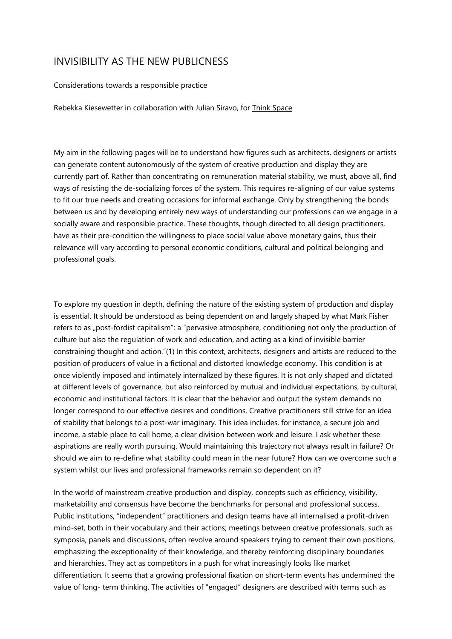## INVISIBILITY AS THE NEW PUBLICNESS

## Considerations towards a responsible practice

Rebekka Kiesewetter in collaboration with Julian Siravo, for Think Space

My aim in the following pages will be to understand how figures such as architects, designers or artists can generate content autonomously of the system of creative production and display they are currently part of. Rather than concentrating on remuneration material stability, we must, above all, find ways of resisting the de-socializing forces of the system. This requires re-aligning of our value systems to fit our true needs and creating occasions for informal exchange. Only by strengthening the bonds between us and by developing entirely new ways of understanding our professions can we engage in a socially aware and responsible practice. These thoughts, though directed to all design practitioners, have as their pre-condition the willingness to place social value above monetary gains, thus their relevance will vary according to personal economic conditions, cultural and political belonging and professional goals.

To explore my question in depth, defining the nature of the existing system of production and display is essential. It should be understood as being dependent on and largely shaped by what Mark Fisher refers to as "post-fordist capitalism": a "pervasive atmosphere, conditioning not only the production of culture but also the regulation of work and education, and acting as a kind of invisible barrier constraining thought and action."(1) In this context, architects, designers and artists are reduced to the position of producers of value in a fictional and distorted knowledge economy. This condition is at once violently imposed and intimately internalized by these figures. It is not only shaped and dictated at different levels of governance, but also reinforced by mutual and individual expectations, by cultural, economic and institutional factors. It is clear that the behavior and output the system demands no longer correspond to our effective desires and conditions. Creative practitioners still strive for an idea of stability that belongs to a post-war imaginary. This idea includes, for instance, a secure job and income, a stable place to call home, a clear division between work and leisure. I ask whether these aspirations are really worth pursuing. Would maintaining this trajectory not always result in failure? Or should we aim to re-define what stability could mean in the near future? How can we overcome such a system whilst our lives and professional frameworks remain so dependent on it?

In the world of mainstream creative production and display, concepts such as efficiency, visibility, marketability and consensus have become the benchmarks for personal and professional success. Public institutions, "independent" practitioners and design teams have all internalised a profit-driven mind-set, both in their vocabulary and their actions; meetings between creative professionals, such as symposia, panels and discussions, often revolve around speakers trying to cement their own positions, emphasizing the exceptionality of their knowledge, and thereby reinforcing disciplinary boundaries and hierarchies. They act as competitors in a push for what increasingly looks like market differentiation. It seems that a growing professional fixation on short-term events has undermined the value of long- term thinking. The activities of "engaged" designers are described with terms such as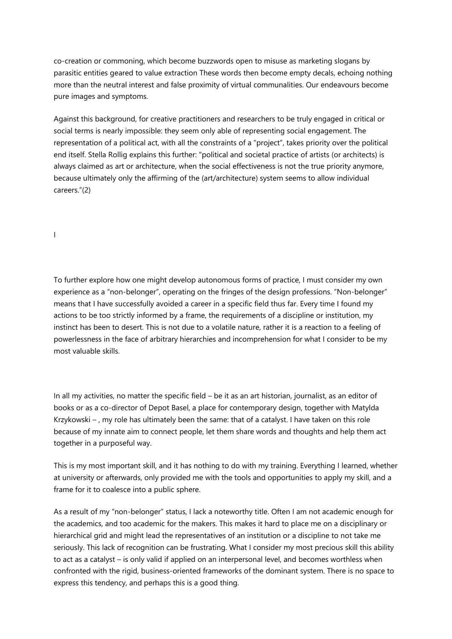co-creation or commoning, which become buzzwords open to misuse as marketing slogans by parasitic entities geared to value extraction These words then become empty decals, echoing nothing more than the neutral interest and false proximity of virtual communalities. Our endeavours become pure images and symptoms.

Against this background, for creative practitioners and researchers to be truly engaged in critical or social terms is nearly impossible: they seem only able of representing social engagement. The representation of a political act, with all the constraints of a "project", takes priority over the political end itself. Stella Rollig explains this further: "political and societal practice of artists (or architects) is always claimed as art or architecture, when the social effectiveness is not the true priority anymore, because ultimately only the affirming of the (art/architecture) system seems to allow individual careers."(2)

I

To further explore how one might develop autonomous forms of practice, I must consider my own experience as a "non-belonger", operating on the fringes of the design professions. "Non-belonger" means that I have successfully avoided a career in a specific field thus far. Every time I found my actions to be too strictly informed by a frame, the requirements of a discipline or institution, my instinct has been to desert. This is not due to a volatile nature, rather it is a reaction to a feeling of powerlessness in the face of arbitrary hierarchies and incomprehension for what I consider to be my most valuable skills.

In all my activities, no matter the specific field – be it as an art historian, journalist, as an editor of books or as a co-director of Depot Basel, a place for contemporary design, together with Matylda Krzykowski – , my role has ultimately been the same: that of a catalyst. I have taken on this role because of my innate aim to connect people, let them share words and thoughts and help them act together in a purposeful way.

This is my most important skill, and it has nothing to do with my training. Everything I learned, whether at university or afterwards, only provided me with the tools and opportunities to apply my skill, and a frame for it to coalesce into a public sphere.

As a result of my "non-belonger" status, I lack a noteworthy title. Often I am not academic enough for the academics, and too academic for the makers. This makes it hard to place me on a disciplinary or hierarchical grid and might lead the representatives of an institution or a discipline to not take me seriously. This lack of recognition can be frustrating. What I consider my most precious skill this ability to act as a catalyst – is only valid if applied on an interpersonal level, and becomes worthless when confronted with the rigid, business-oriented frameworks of the dominant system. There is no space to express this tendency, and perhaps this is a good thing.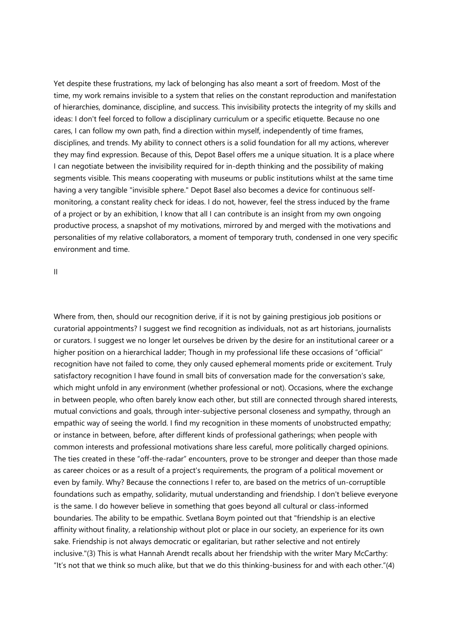Yet despite these frustrations, my lack of belonging has also meant a sort of freedom. Most of the time, my work remains invisible to a system that relies on the constant reproduction and manifestation of hierarchies, dominance, discipline, and success. This invisibility protects the integrity of my skills and ideas: I don't feel forced to follow a disciplinary curriculum or a specific etiquette. Because no one cares, I can follow my own path, find a direction within myself, independently of time frames, disciplines, and trends. My ability to connect others is a solid foundation for all my actions, wherever they may find expression. Because of this, Depot Basel offers me a unique situation. It is a place where I can negotiate between the invisibility required for in-depth thinking and the possibility of making segments visible. This means cooperating with museums or public institutions whilst at the same time having a very tangible "invisible sphere." Depot Basel also becomes a device for continuous selfmonitoring, a constant reality check for ideas. I do not, however, feel the stress induced by the frame of a project or by an exhibition, I know that all I can contribute is an insight from my own ongoing productive process, a snapshot of my motivations, mirrored by and merged with the motivations and personalities of my relative collaborators, a moment of temporary truth, condensed in one very specific environment and time.

II

Where from, then, should our recognition derive, if it is not by gaining prestigious job positions or curatorial appointments? I suggest we find recognition as individuals, not as art historians, journalists or curators. I suggest we no longer let ourselves be driven by the desire for an institutional career or a higher position on a hierarchical ladder; Though in my professional life these occasions of "official" recognition have not failed to come, they only caused ephemeral moments pride or excitement. Truly satisfactory recognition I have found in small bits of conversation made for the conversation's sake, which might unfold in any environment (whether professional or not). Occasions, where the exchange in between people, who often barely know each other, but still are connected through shared interests, mutual convictions and goals, through inter-subjective personal closeness and sympathy, through an empathic way of seeing the world. I find my recognition in these moments of unobstructed empathy; or instance in between, before, after different kinds of professional gatherings; when people with common interests and professional motivations share less careful, more politically charged opinions. The ties created in these "off-the-radar" encounters, prove to be stronger and deeper than those made as career choices or as a result of a project's requirements, the program of a political movement or even by family. Why? Because the connections I refer to, are based on the metrics of un-corruptible foundations such as empathy, solidarity, mutual understanding and friendship. I don't believe everyone is the same. I do however believe in something that goes beyond all cultural or class-informed boundaries. The ability to be empathic. Svetlana Boym pointed out that "friendship is an elective affinity without finality, a relationship without plot or place in our society, an experience for its own sake. Friendship is not always democratic or egalitarian, but rather selective and not entirely inclusive."(3) This is what Hannah Arendt recalls about her friendship with the writer Mary McCarthy: "It's not that we think so much alike, but that we do this thinking-business for and with each other."(4)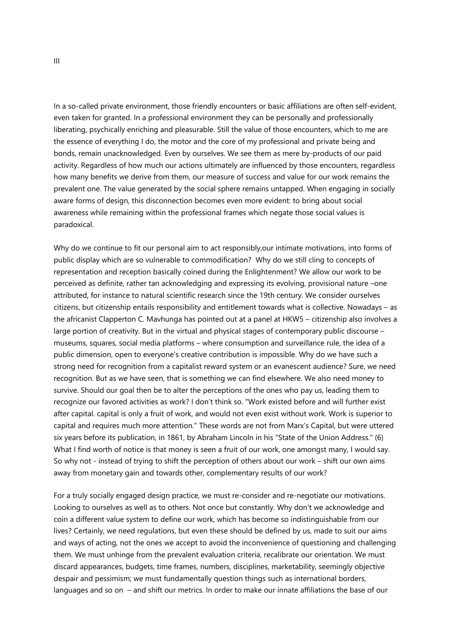In a so-called private environment, those friendly encounters or basic affiliations are often self-evident, even taken for granted. In a professional environment they can be personally and professionally liberating, psychically enriching and pleasurable. Still the value of those encounters, which to me are the essence of everything I do, the motor and the core of my professional and private being and bonds, remain unacknowledged. Even by ourselves. We see them as mere by-products of our paid activity. Regardless of how much our actions ultimately are influenced by those encounters, regardless how many benefits we derive from them, our measure of success and value for our work remains the prevalent one. The value generated by the social sphere remains untapped. When engaging in socially aware forms of design, this disconnection becomes even more evident: to bring about social awareness while remaining within the professional frames which negate those social values is paradoxical.

Why do we continue to fit our personal aim to act responsibly,our intimate motivations, into forms of public display which are so vulnerable to commodification? Why do we still cling to concepts of representation and reception basically coined during the Enlightenment? We allow our work to be perceived as definite, rather tan acknowledging and expressing its evolving, provisional nature –one attributed, for instance to natural scientific research since the 19th century. We consider ourselves citizens, but citizenship entails responsibility and entitlement towards what is collective. Nowadays – as the africanist Clapperton C. Mavhunga has pointed out at a panel at HKW5 – citizenship also involves a large portion of creativity. But in the virtual and physical stages of contemporary public discourse – museums, squares, social media platforms – where consumption and surveillance rule, the idea of a public dimension, open to everyone's creative contribution is impossible. Why do we have such a strong need for recognition from a capitalist reward system or an evanescent audience? Sure, we need recognition. But as we have seen, that is something we can find elsewhere. We also need money to survive. Should our goal then be to alter the perceptions of the ones who pay us, leading them to recognize our favored activities as work? I don't think so. "Work existed before and will further exist after capital. capital is only a fruit of work, and would not even exist without work. Work is superior to capital and requires much more attention." These words are not from Marx's Capital, but were uttered six years before its publication, in 1861, by Abraham Lincoln in his "State of the Union Address." (6) What I find worth of notice is that money is seen a fruit of our work, one amongst many, I would say. So why not - instead of trying to shift the perception of others about our work – shift our own aims away from monetary gain and towards other, complementary results of our work?

For a truly socially engaged design practice, we must re-consider and re-negotiate our motivations. Looking to ourselves as well as to others. Not once but constantly. Why don't we acknowledge and coin a different value system to define our work, which has become so indistinguishable from our lives? Certainly, we need regulations, but even these should be defined by us, made to suit our aims and ways of acting, not the ones we accept to avoid the inconvenience of questioning and challenging them. We must unhinge from the prevalent evaluation criteria, recalibrate our orientation. We must discard appearances, budgets, time frames, numbers, disciplines, marketability, seemingly objective despair and pessimism; we must fundamentally question things such as international borders, languages and so on – and shift our metrics. In order to make our innate affiliations the base of our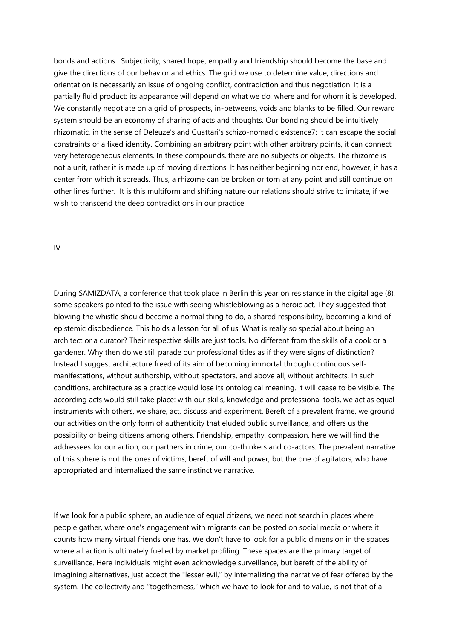bonds and actions. Subjectivity, shared hope, empathy and friendship should become the base and give the directions of our behavior and ethics. The grid we use to determine value, directions and orientation is necessarily an issue of ongoing conflict, contradiction and thus negotiation. It is a partially fluid product: its appearance will depend on what we do, where and for whom it is developed. We constantly negotiate on a grid of prospects, in-betweens, voids and blanks to be filled. Our reward system should be an economy of sharing of acts and thoughts. Our bonding should be intuitively rhizomatic, in the sense of Deleuze's and Guattari's schizo-nomadic existence7: it can escape the social constraints of a fixed identity. Combining an arbitrary point with other arbitrary points, it can connect very heterogeneous elements. In these compounds, there are no subjects or objects. The rhizome is not a unit, rather it is made up of moving directions. It has neither beginning nor end, however, it has a center from which it spreads. Thus, a rhizome can be broken or torn at any point and still continue on other lines further. It is this multiform and shifting nature our relations should strive to imitate, if we wish to transcend the deep contradictions in our practice.

IV

During SAMIZDATA, a conference that took place in Berlin this year on resistance in the digital age (8), some speakers pointed to the issue with seeing whistleblowing as a heroic act. They suggested that blowing the whistle should become a normal thing to do, a shared responsibility, becoming a kind of epistemic disobedience. This holds a lesson for all of us. What is really so special about being an architect or a curator? Their respective skills are just tools. No different from the skills of a cook or a gardener. Why then do we still parade our professional titles as if they were signs of distinction? Instead I suggest architecture freed of its aim of becoming immortal through continuous selfmanifestations, without authorship, without spectators, and above all, without architects. In such conditions, architecture as a practice would lose its ontological meaning. It will cease to be visible. The according acts would still take place: with our skills, knowledge and professional tools, we act as equal instruments with others, we share, act, discuss and experiment. Bereft of a prevalent frame, we ground our activities on the only form of authenticity that eluded public surveillance, and offers us the possibility of being citizens among others. Friendship, empathy, compassion, here we will find the addressees for our action, our partners in crime, our co-thinkers and co-actors. The prevalent narrative of this sphere is not the ones of victims, bereft of will and power, but the one of agitators, who have appropriated and internalized the same instinctive narrative.

If we look for a public sphere, an audience of equal citizens, we need not search in places where people gather, where one's engagement with migrants can be posted on social media or where it counts how many virtual friends one has. We don't have to look for a public dimension in the spaces where all action is ultimately fuelled by market profiling. These spaces are the primary target of surveillance. Here individuals might even acknowledge surveillance, but bereft of the ability of imagining alternatives, just accept the "lesser evil," by internalizing the narrative of fear offered by the system. The collectivity and "togetherness," which we have to look for and to value, is not that of a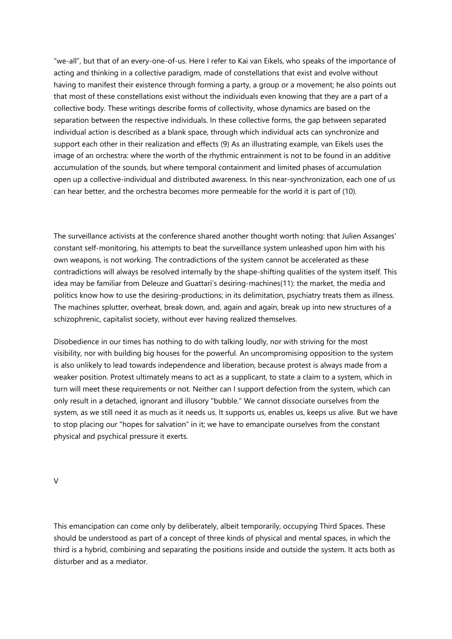"we-all", but that of an every-one-of-us. Here I refer to Kai van Eikels, who speaks of the importance of acting and thinking in a collective paradigm, made of constellations that exist and evolve without having to manifest their existence through forming a party, a group or a movement; he also points out that most of these constellations exist without the individuals even knowing that they are a part of a collective body. These writings describe forms of collectivity, whose dynamics are based on the separation between the respective individuals. In these collective forms, the gap between separated individual action is described as a blank space, through which individual acts can synchronize and support each other in their realization and effects (9) As an illustrating example, van Eikels uses the image of an orchestra: where the worth of the rhythmic entrainment is not to be found in an additive accumulation of the sounds, but where temporal containment and limited phases of accumulation open up a collective-individual and distributed awareness. In this near-synchronization, each one of us can hear better, and the orchestra becomes more permeable for the world it is part of (10).

The surveillance activists at the conference shared another thought worth noting: that Julien Assanges' constant self-monitoring, his attempts to beat the surveillance system unleashed upon him with his own weapons, is not working. The contradictions of the system cannot be accelerated as these contradictions will always be resolved internally by the shape-shifting qualities of the system itself. This idea may be familiar from Deleuze and Guattari's desiring-machines(11): the market, the media and politics know how to use the desiring-productions; in its delimitation, psychiatry treats them as illness. The machines splutter, overheat, break down, and, again and again, break up into new structures of a schizophrenic, capitalist society, without ever having realized themselves.

Disobedience in our times has nothing to do with talking loudly, nor with striving for the most visibility, nor with building big houses for the powerful. An uncompromising opposition to the system is also unlikely to lead towards independence and liberation, because protest is always made from a weaker position. Protest ultimately means to act as a supplicant, to state a claim to a system, which in turn will meet these requirements or not. Neither can I support defection from the system, which can only result in a detached, ignorant and illusory "bubble." We cannot dissociate ourselves from the system, as we still need it as much as it needs us. It supports us, enables us, keeps us alive. But we have to stop placing our "hopes for salvation" in it; we have to emancipate ourselves from the constant physical and psychical pressure it exerts.

 $\overline{V}$ 

This emancipation can come only by deliberately, albeit temporarily, occupying Third Spaces. These should be understood as part of a concept of three kinds of physical and mental spaces, in which the third is a hybrid, combining and separating the positions inside and outside the system. It acts both as disturber and as a mediator.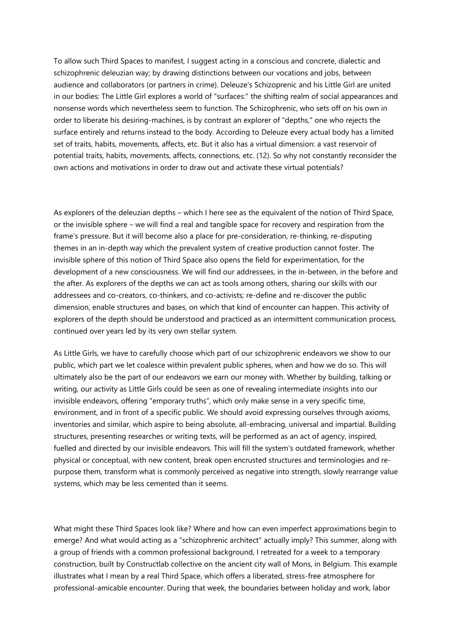To allow such Third Spaces to manifest, I suggest acting in a conscious and concrete, dialectic and schizophrenic deleuzian way; by drawing distinctions between our vocations and jobs, between audience and collaborators (or partners in crime). Deleuze's Schizoprenic and his Little Girl are united in our bodies: The Little Girl explores a world of "surfaces:" the shifting realm of social appearances and nonsense words which nevertheless seem to function. The Schizophrenic, who sets off on his own in order to liberate his desiring-machines, is by contrast an explorer of "depths," one who rejects the surface entirely and returns instead to the body. According to Deleuze every actual body has a limited set of traits, habits, movements, affects, etc. But it also has a virtual dimension: a vast reservoir of potential traits, habits, movements, affects, connections, etc. (12). So why not constantly reconsider the own actions and motivations in order to draw out and activate these virtual potentials?

As explorers of the deleuzian depths – which I here see as the equivalent of the notion of Third Space, or the invisible sphere – we will find a real and tangible space for recovery and respiration from the frame's pressure. But it will become also a place for pre-consideration, re-thinking, re-disputing themes in an in-depth way which the prevalent system of creative production cannot foster. The invisible sphere of this notion of Third Space also opens the field for experimentation, for the development of a new consciousness. We will find our addressees, in the in-between, in the before and the after. As explorers of the depths we can act as tools among others, sharing our skills with our addressees and co-creators, co-thinkers, and co-activists; re-define and re-discover the public dimension, enable structures and bases, on which that kind of encounter can happen. This activity of explorers of the depth should be understood and practiced as an intermittent communication process, continued over years led by its very own stellar system.

As Little Girls, we have to carefully choose which part of our schizophrenic endeavors we show to our public, which part we let coalesce within prevalent public spheres, when and how we do so. This will ultimately also be the part of our endeavors we earn our money with. Whether by building, talking or writing, our activity as Little Girls could be seen as one of revealing intermediate insights into our invisible endeavors, offering "emporary truths", which only make sense in a very specific time, environment, and in front of a specific public. We should avoid expressing ourselves through axioms, inventories and similar, which aspire to being absolute, all-embracing, universal and impartial. Building structures, presenting researches or writing texts, will be performed as an act of agency, inspired, fuelled and directed by our invisible endeavors. This will fill the system's outdated framework, whether physical or conceptual, with new content, break open encrusted structures and terminologies and repurpose them, transform what is commonly perceived as negative into strength, slowly rearrange value systems, which may be less cemented than it seems.

What might these Third Spaces look like? Where and how can even imperfect approximations begin to emerge? And what would acting as a "schizophrenic architect" actually imply? This summer, along with a group of friends with a common professional background, I retreated for a week to a temporary construction, built by Constructlab collective on the ancient city wall of Mons, in Belgium. This example illustrates what I mean by a real Third Space, which offers a liberated, stress-free atmosphere for professional-amicable encounter. During that week, the boundaries between holiday and work, labor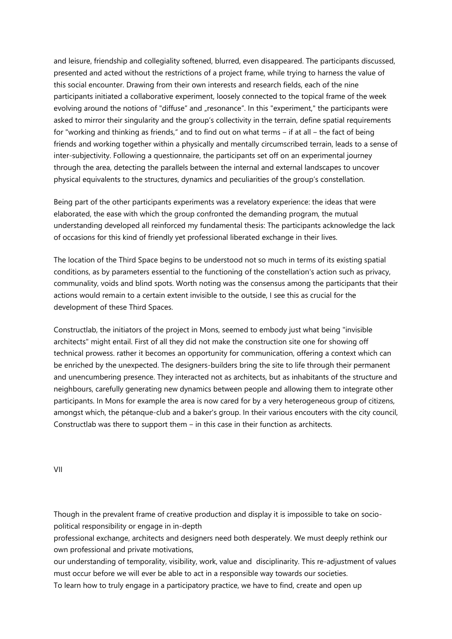and leisure, friendship and collegiality softened, blurred, even disappeared. The participants discussed, presented and acted without the restrictions of a project frame, while trying to harness the value of this social encounter. Drawing from their own interests and research fields, each of the nine participants initiated a collaborative experiment, loosely connected to the topical frame of the week evolving around the notions of "diffuse" and "resonance". In this "experiment," the participants were asked to mirror their singularity and the group's collectivity in the terrain, define spatial requirements for "working and thinking as friends," and to find out on what terms  $-$  if at all  $-$  the fact of being friends and working together within a physically and mentally circumscribed terrain, leads to a sense of inter-subjectivity. Following a questionnaire, the participants set off on an experimental journey through the area, detecting the parallels between the internal and external landscapes to uncover physical equivalents to the structures, dynamics and peculiarities of the group's constellation.

Being part of the other participants experiments was a revelatory experience: the ideas that were elaborated, the ease with which the group confronted the demanding program, the mutual understanding developed all reinforced my fundamental thesis: The participants acknowledge the lack of occasions for this kind of friendly yet professional liberated exchange in their lives.

The location of the Third Space begins to be understood not so much in terms of its existing spatial conditions, as by parameters essential to the functioning of the constellation's action such as privacy, communality, voids and blind spots. Worth noting was the consensus among the participants that their actions would remain to a certain extent invisible to the outside, I see this as crucial for the development of these Third Spaces.

Constructlab, the initiators of the project in Mons, seemed to embody just what being "invisible architects" might entail. First of all they did not make the construction site one for showing off technical prowess. rather it becomes an opportunity for communication, offering a context which can be enriched by the unexpected. The designers-builders bring the site to life through their permanent and unencumbering presence. They interacted not as architects, but as inhabitants of the structure and neighbours, carefully generating new dynamics between people and allowing them to integrate other participants. In Mons for example the area is now cared for by a very heterogeneous group of citizens, amongst which, the pétanque-club and a baker's group. In their various encouters with the city council, Constructlab was there to support them - in this case in their function as architects.

VII

Though in the prevalent frame of creative production and display it is impossible to take on sociopolitical responsibility or engage in in-depth

professional exchange, architects and designers need both desperately. We must deeply rethink our own professional and private motivations,

our understanding of temporality, visibility, work, value and disciplinarity. This re-adjustment of values must occur before we will ever be able to act in a responsible way towards our societies. To learn how to truly engage in a participatory practice, we have to find, create and open up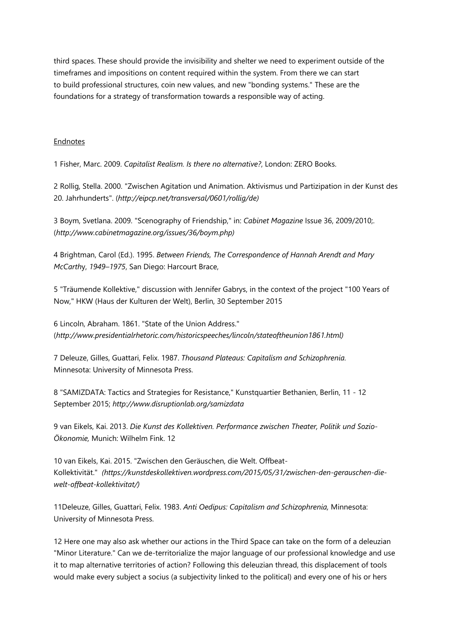third spaces. These should provide the invisibility and shelter we need to experiment outside of the timeframes and impositions on content required within the system. From there we can start to build professional structures, coin new values, and new "bonding systems." These are the foundations for a strategy of transformation towards a responsible way of acting.

## Endnotes

1 Fisher, Marc. 2009. *Capitalist Realism. Is there no alternative?*, London: ZERO Books.

2 Rollig, Stella. 2000. "Zwischen Agitation und Animation. Aktivismus und Partizipation in der Kunst des 20. Jahrhunderts". (*http://eipcp.net/transversal/0601/rollig/de)*

3 Boym, Svetlana. 2009. "Scenography of Friendship," in: *Cabinet Magazine* Issue 36, 2009/2010;. (*http://www.cabinetmagazine.org/issues/36/boym.php)*

4 Brightman, Carol (Ed.). 1995. *Between Friends, The Correspondence of Hannah Arendt and Mary McCarth*y, *1949–1975*, San Diego: Harcourt Brace,

5 "Träumende Kollektive," discussion with Jennifer Gabrys, in the context of the project "100 Years of Now," HKW (Haus der Kulturen der Welt), Berlin, 30 September 2015

6 Lincoln, Abraham. 1861. "State of the Union Address." (*http://www.presidentialrhetoric.com/historicspeeches/lincoln/stateoftheunion1861.html)*

7 Deleuze, Gilles, Guattari, Felix. 1987. *Thousand Plateaus: Capitalism and Schizophrenia.*  Minnesota: University of Minnesota Press.

8 "SAMIZDATA: Tactics and Strategies for Resistance," Kunstquartier Bethanien, Berlin, 11 - 12 September 2015; *http://www.disruptionlab.org/samizdata*

9 van Eikels, Kai. 2013. *Die Kunst des Kollektiven. Performance zwischen Theater, Politik und Sozio-Ökonomie,* Munich: Wilhelm Fink. 12

10 van Eikels, Kai. 2015. "Zwischen den Geräuschen, die Welt. Offbeat-Kollektivität." *(https://kunstdeskollektiven.wordpress.com/2015/05/31/zwischen-den-gerauschen-diewelt-offbeat-kollektivitat/)*

11Deleuze, Gilles, Guattari, Felix. 1983. *Anti Oedipus: Capitalism and Schizophrenia,* Minnesota: University of Minnesota Press.

12 Here one may also ask whether our actions in the Third Space can take on the form of a deleuzian "Minor Literature." Can we de-territorialize the major language of our professional knowledge and use it to map alternative territories of action? Following this deleuzian thread, this displacement of tools would make every subject a socius (a subjectivity linked to the political) and every one of his or hers